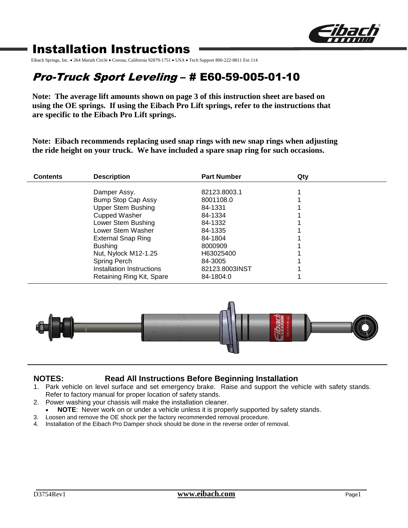

# Installation Instructions

Eibach Springs, Inc. . 264 Mariah Circle · Corona, California 92879-1751 · USA · Tech Support 800-222-8811 Ext 114

# Pro-Truck Sport Leveling – # E60-59-005-01-10

**Note: The average lift amounts shown on page 3 of this instruction sheet are based on using the OE springs. If using the Eibach Pro Lift springs, refer to the instructions that are specific to the Eibach Pro Lift springs.**

**Note: Eibach recommends replacing used snap rings with new snap rings when adjusting the ride height on your truck. We have included a spare snap ring for such occasions.**

| <b>Contents</b> | <b>Description</b>                                                                                                                                                                                                                                     | <b>Part Number</b>                                                                                                                    | Qty |  |
|-----------------|--------------------------------------------------------------------------------------------------------------------------------------------------------------------------------------------------------------------------------------------------------|---------------------------------------------------------------------------------------------------------------------------------------|-----|--|
|                 | Damper Assy.<br>Bump Stop Cap Assy<br><b>Upper Stem Bushing</b><br><b>Cupped Washer</b><br>Lower Stem Bushing<br>Lower Stem Washer<br><b>External Snap Ring</b><br><b>Bushing</b><br>Nut, Nylock M12-1.25<br>Spring Perch<br>Installation Instructions | 82123,8003.1<br>8001108.0<br>84-1331<br>84-1334<br>84-1332<br>84-1335<br>84-1804<br>8000909<br>H63025400<br>84-3005<br>82123.8003INST |     |  |
|                 | Retaining Ring Kit, Spare                                                                                                                                                                                                                              | 84-1804.0                                                                                                                             |     |  |



## **NOTES: Read All Instructions Before Beginning Installation**

- 1. Park vehicle on level surface and set emergency brake. Raise and support the vehicle with safety stands. Refer to factory manual for proper location of safety stands.
- 2. Power washing your chassis will make the installation cleaner.
	- **NOTE**: Never work on or under a vehicle unless it is properly supported by safety stands.
- 3. Loosen and remove the OE shock per the factory recommended removal procedure.
- 4. Installation of the Eibach Pro Damper shock should be done in the reverse order of removal.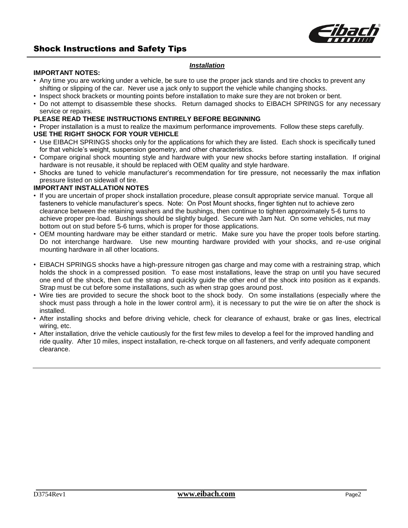

## Shock Instructions and Safety Tips

#### *Installation*

#### **IMPORTANT NOTES:**

- Any time you are working under a vehicle, be sure to use the proper jack stands and tire chocks to prevent any shifting or slipping of the car. Never use a jack only to support the vehicle while changing shocks.
- Inspect shock brackets or mounting points before installation to make sure they are not broken or bent.
- Do not attempt to disassemble these shocks. Return damaged shocks to EIBACH SPRINGS for any necessary service or repairs.

### **PLEASE READ THESE INSTRUCTIONS ENTIRELY BEFORE BEGINNING**

• Proper installation is a must to realize the maximum performance improvements. Follow these steps carefully.

#### **USE THE RIGHT SHOCK FOR YOUR VEHICLE**

- Use EIBACH SPRINGS shocks only for the applications for which they are listed. Each shock is specifically tuned for that vehicle's weight, suspension geometry, and other characteristics.
- Compare original shock mounting style and hardware with your new shocks before starting installation. If original hardware is not reusable, it should be replaced with OEM quality and style hardware.
- Shocks are tuned to vehicle manufacturer's recommendation for tire pressure, not necessarily the max inflation pressure listed on sidewall of tire.

#### **IMPORTANT INSTALLATION NOTES**

- If you are uncertain of proper shock installation procedure, please consult appropriate service manual. Torque all fasteners to vehicle manufacturer's specs. Note: On Post Mount shocks, finger tighten nut to achieve zero clearance between the retaining washers and the bushings, then continue to tighten approximately 5-6 turns to achieve proper pre-load. Bushings should be slightly bulged. Secure with Jam Nut. On some vehicles, nut may bottom out on stud before 5-6 turns, which is proper for those applications.
- OEM mounting hardware may be either standard or metric. Make sure you have the proper tools before starting. Do not interchange hardware. Use new mounting hardware provided with your shocks, and re-use original mounting hardware in all other locations.
- EIBACH SPRINGS shocks have a high-pressure nitrogen gas charge and may come with a restraining strap, which holds the shock in a compressed position. To ease most installations, leave the strap on until you have secured one end of the shock, then cut the strap and quickly guide the other end of the shock into position as it expands. Strap must be cut before some installations, such as when strap goes around post.
- Wire ties are provided to secure the shock boot to the shock body. On some installations (especially where the shock must pass through a hole in the lower control arm), it is necessary to put the wire tie on after the shock is installed.
- After installing shocks and before driving vehicle, check for clearance of exhaust, brake or gas lines, electrical wiring, etc.
- After installation, drive the vehicle cautiously for the first few miles to develop a feel for the improved handling and ride quality. After 10 miles, inspect installation, re-check torque on all fasteners, and verify adequate component clearance.